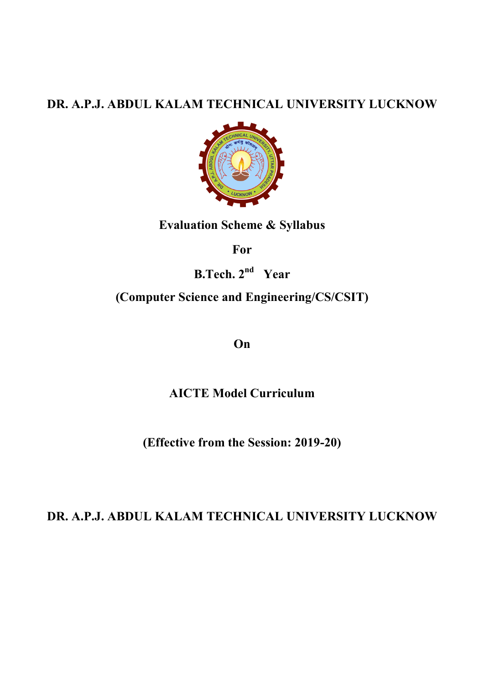## DR. A.P.J. ABDUL KALAM TECHNICAL UNIVERSITY LUCKNOW



### Evaluation Scheme & Syllabus

For

B.Tech.  $2^{nd}$  Year

## (Computer Science and Engineering/CS/CSIT)

On

AICTE Model Curriculum

(Effective from the Session: 2019-20)

# DR. A.P.J. ABDUL KALAM TECHNICAL UNIVERSITY LUCKNOW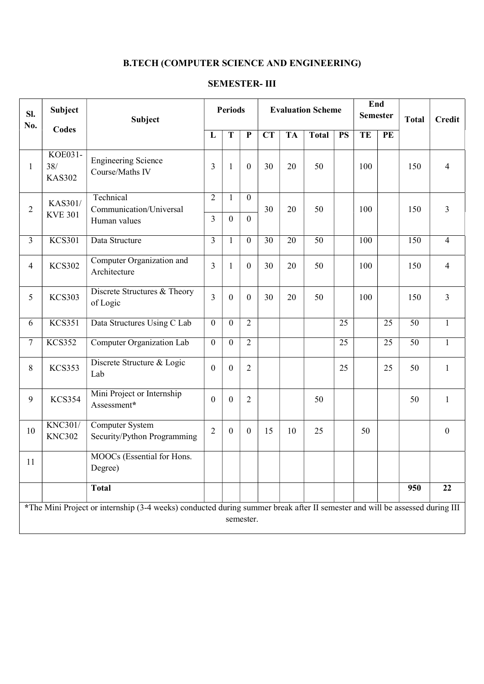# B.TECH (COMPUTER SCIENCE AND ENGINEERING)

| SI.<br>No.       | <b>Subject</b>                                                                                                                           | Subject                                              |                     | <b>Periods</b>                 |                              |           | <b>Evaluation Scheme</b> |                 |           | End<br><b>Semester</b> |    | <b>Total</b> | <b>Credit</b>  |
|------------------|------------------------------------------------------------------------------------------------------------------------------------------|------------------------------------------------------|---------------------|--------------------------------|------------------------------|-----------|--------------------------|-----------------|-----------|------------------------|----|--------------|----------------|
|                  | <b>Codes</b>                                                                                                                             |                                                      | L                   | T                              | $\mathbf P$                  | <b>CT</b> | <b>TA</b>                | <b>Total</b>    | <b>PS</b> | TE                     | PE |              |                |
| $\mathbf{1}$     | <b>KOE031-</b><br>38/<br><b>KAS302</b>                                                                                                   | <b>Engineering Science</b><br>Course/Maths IV        | 3                   | $\mathbf{1}$                   | $\boldsymbol{0}$             | 30        | 20                       | 50              |           | 100                    |    | 150          | $\overline{4}$ |
| $\overline{2}$   | KAS301/<br><b>KVE 301</b>                                                                                                                | Technical<br>Communication/Universal<br>Human values | $\overline{2}$<br>3 | $\mathbf{1}$<br>$\overline{0}$ | $\mathbf{0}$<br>$\mathbf{0}$ | 30        | 20                       | 50              |           | 100                    |    | 150          | $\overline{3}$ |
|                  |                                                                                                                                          |                                                      |                     |                                |                              |           |                          |                 |           |                        |    |              |                |
| $\overline{3}$   | <b>KCS301</b>                                                                                                                            | Data Structure                                       | $\overline{3}$      | $\mathbf{1}$                   | $\boldsymbol{0}$             | 30        | 20                       | $\overline{50}$ |           | 100                    |    | 150          | $\overline{4}$ |
| $\overline{4}$   | <b>KCS302</b>                                                                                                                            | Computer Organization and<br>Architecture            | $\overline{3}$      | $\mathbf{1}$                   | $\mathbf{0}$                 | 30        | 20                       | 50              |           | 100                    |    | 150          | $\overline{4}$ |
| 5                | <b>KCS303</b>                                                                                                                            | Discrete Structures & Theory<br>of Logic             | $\overline{3}$      | $\boldsymbol{0}$               | $\boldsymbol{0}$             | 30        | 20                       | 50              |           | 100                    |    | 150          | $\overline{3}$ |
| 6                | <b>KCS351</b>                                                                                                                            | Data Structures Using C Lab                          | $\boldsymbol{0}$    | $\overline{0}$                 | $\overline{2}$               |           |                          |                 | 25        |                        | 25 | 50           | $\mathbf{1}$   |
| $\boldsymbol{7}$ | <b>KCS352</b>                                                                                                                            | Computer Organization Lab                            | $\boldsymbol{0}$    | $\overline{0}$                 | $\overline{2}$               |           |                          |                 | 25        |                        | 25 | 50           | $\mathbf{1}$   |
| 8                | <b>KCS353</b>                                                                                                                            | Discrete Structure & Logic<br>Lab                    | $\boldsymbol{0}$    | $\boldsymbol{0}$               | $\overline{2}$               |           |                          |                 | 25        |                        | 25 | 50           | $\mathbf{1}$   |
| 9                | <b>KCS354</b>                                                                                                                            | Mini Project or Internship<br>Assessment*            | $\boldsymbol{0}$    | $\boldsymbol{0}$               | $\overline{2}$               |           |                          | 50              |           |                        |    | 50           | 1              |
| 10               | <b>KNC301/</b><br><b>KNC302</b>                                                                                                          | Computer System<br>Security/Python Programming       | $\overline{2}$      | $\mathbf{0}$                   | $\boldsymbol{0}$             | 15        | 10                       | 25              |           | 50                     |    |              | $\mathbf{0}$   |
| <sup>11</sup>    |                                                                                                                                          | MOOCs (Essential for Hons.<br>Degree)                |                     |                                |                              |           |                          |                 |           |                        |    |              |                |
|                  |                                                                                                                                          | <b>Total</b>                                         |                     |                                |                              |           |                          |                 |           |                        |    | 950          | 22             |
|                  | *The Mini Project or internship (3-4 weeks) conducted during summer break after II semester and will be assessed during III<br>semester. |                                                      |                     |                                |                              |           |                          |                 |           |                        |    |              |                |

### SEMESTER- III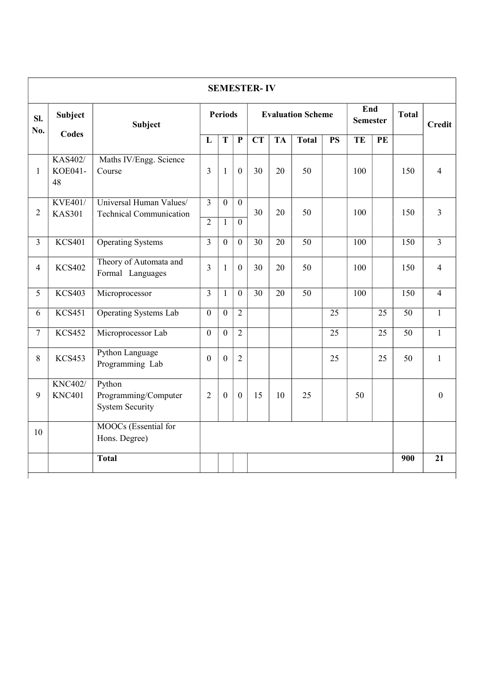|                |                                  |                                                              |                         |                  |                        | <b>SEMESTER-IV</b> |                 |               |                 |     |                 |                 |                |  |  |     |  |     |                |
|----------------|----------------------------------|--------------------------------------------------------------|-------------------------|------------------|------------------------|--------------------|-----------------|---------------|-----------------|-----|-----------------|-----------------|----------------|--|--|-----|--|-----|----------------|
| SI.<br>No.     | Subject                          | <b>Periods</b><br><b>Evaluation Scheme</b><br><b>Subject</b> |                         |                  | End<br><b>Semester</b> |                    | <b>Total</b>    | <b>Credit</b> |                 |     |                 |                 |                |  |  |     |  |     |                |
|                | <b>Codes</b>                     |                                                              | L                       | T                | $\mathbf{P}$           | <b>CT</b>          | <b>TA</b>       | <b>Total</b>  | <b>PS</b>       | TE  | PE              |                 |                |  |  |     |  |     |                |
| $\mathbf{1}$   | <b>KAS402/</b><br>KOE041-<br>48  | Maths IV/Engg. Science<br>Course                             | $\overline{3}$          | $\mathbf{1}$     | $\boldsymbol{0}$       | 30                 | 20              | 50            |                 | 100 |                 | 150             | $\overline{4}$ |  |  |     |  |     |                |
| $\overline{2}$ | <b>KVE401/</b><br><b>KAS301</b>  | Universal Human Values/<br><b>Technical Communication</b>    | $\overline{\mathbf{3}}$ | $\overline{0}$   | $\overline{0}$         | 30<br>20           |                 |               |                 | 50  |                 |                 |                |  |  | 100 |  | 150 | $\overline{3}$ |
|                |                                  |                                                              | $\overline{2}$          | $\mathbf{1}$     | $\theta$               |                    |                 |               |                 |     |                 |                 |                |  |  |     |  |     |                |
| $\overline{3}$ | <b>KCS401</b>                    | <b>Operating Systems</b>                                     | $\overline{3}$          | $\mathbf{0}$     | $\mathbf{0}$           | 30                 | 20              | 50            |                 | 100 |                 | 150             | $\overline{3}$ |  |  |     |  |     |                |
| $\overline{4}$ | <b>KCS402</b>                    | Theory of Automata and<br>Formal Languages                   | $\overline{3}$          | $\mathbf{1}$     | $\boldsymbol{0}$       | 30                 | 20              | 50            |                 | 100 |                 | 150             | $\overline{4}$ |  |  |     |  |     |                |
| $\overline{5}$ | <b>KCS403</b>                    | Microprocessor                                               | $\overline{3}$          | $\mathbf{1}$     | $\overline{0}$         | $\overline{30}$    | $\overline{20}$ | 50            |                 | 100 |                 | 150             | $\overline{4}$ |  |  |     |  |     |                |
| 6              | <b>KCS451</b>                    | <b>Operating Systems Lab</b>                                 | $\overline{0}$          | $\overline{0}$   | $\overline{2}$         |                    |                 |               | $\overline{25}$ |     | $\overline{25}$ | $\overline{50}$ | $\mathbf{1}$   |  |  |     |  |     |                |
| $\tau$         | <b>KCS452</b>                    | Microprocessor Lab                                           | $\overline{0}$          | $\boldsymbol{0}$ | $\overline{2}$         |                    |                 |               | 25              |     | 25              | 50              | $\mathbf{1}$   |  |  |     |  |     |                |
| $\,8\,$        | <b>KCS453</b>                    | Python Language<br>Programming Lab                           | $\overline{0}$          | $\overline{0}$   | $\overline{2}$         |                    |                 |               | 25              |     | 25              | 50              | $\mathbf{1}$   |  |  |     |  |     |                |
| 9              | <b>KNC402</b> /<br><b>KNC401</b> | Python<br>Programming/Computer<br><b>System Security</b>     | $\overline{2}$          | $\overline{0}$   | $\boldsymbol{0}$       | 15                 | 10              | 25            |                 | 50  |                 |                 | $\overline{0}$ |  |  |     |  |     |                |
| 10             |                                  | MOOCs (Essential for<br>Hons. Degree)                        |                         |                  |                        |                    |                 |               |                 |     |                 |                 |                |  |  |     |  |     |                |
|                |                                  | <b>Total</b>                                                 |                         |                  |                        |                    |                 |               |                 |     |                 | 900             | 21             |  |  |     |  |     |                |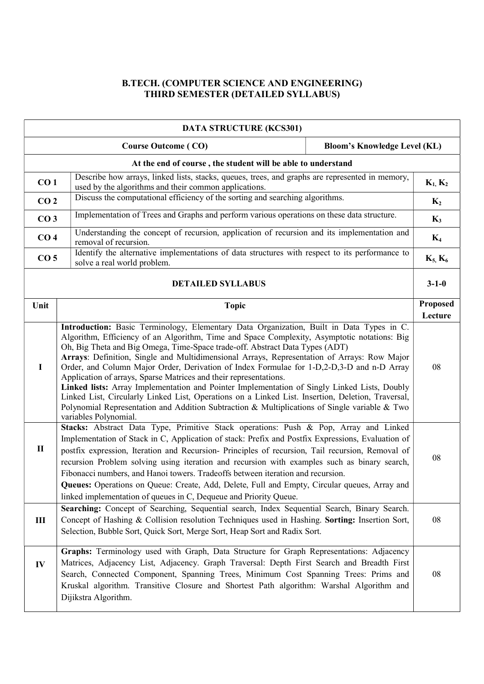#### B.TECH. (COMPUTER SCIENCE AND ENGINEERING) THIRD SEMESTER (DETAILED SYLLABUS)

|                                                              | <b>DATA STRUCTURE (KCS301)</b>                                                                                                                                                                                                                                                                                                                                                                                                                                                                                                                                                                                                                                                                                                                                                                                                                 |                                     |                            |  |  |
|--------------------------------------------------------------|------------------------------------------------------------------------------------------------------------------------------------------------------------------------------------------------------------------------------------------------------------------------------------------------------------------------------------------------------------------------------------------------------------------------------------------------------------------------------------------------------------------------------------------------------------------------------------------------------------------------------------------------------------------------------------------------------------------------------------------------------------------------------------------------------------------------------------------------|-------------------------------------|----------------------------|--|--|
|                                                              | <b>Course Outcome (CO)</b>                                                                                                                                                                                                                                                                                                                                                                                                                                                                                                                                                                                                                                                                                                                                                                                                                     | <b>Bloom's Knowledge Level (KL)</b> |                            |  |  |
| At the end of course, the student will be able to understand |                                                                                                                                                                                                                                                                                                                                                                                                                                                                                                                                                                                                                                                                                                                                                                                                                                                |                                     |                            |  |  |
| CO <sub>1</sub>                                              | Describe how arrays, linked lists, stacks, queues, trees, and graphs are represented in memory,<br>used by the algorithms and their common applications.                                                                                                                                                                                                                                                                                                                                                                                                                                                                                                                                                                                                                                                                                       |                                     | $K_1, K_2$                 |  |  |
| CO <sub>2</sub>                                              | Discuss the computational efficiency of the sorting and searching algorithms.                                                                                                                                                                                                                                                                                                                                                                                                                                                                                                                                                                                                                                                                                                                                                                  |                                     | $K_2$                      |  |  |
| CO <sub>3</sub>                                              | Implementation of Trees and Graphs and perform various operations on these data structure.                                                                                                                                                                                                                                                                                                                                                                                                                                                                                                                                                                                                                                                                                                                                                     |                                     | $K_3$                      |  |  |
| CO <sub>4</sub>                                              | Understanding the concept of recursion, application of recursion and its implementation and<br>removal of recursion.                                                                                                                                                                                                                                                                                                                                                                                                                                                                                                                                                                                                                                                                                                                           |                                     | $K_4$                      |  |  |
| CO <sub>5</sub>                                              | Identify the alternative implementations of data structures with respect to its performance to<br>solve a real world problem.                                                                                                                                                                                                                                                                                                                                                                                                                                                                                                                                                                                                                                                                                                                  |                                     | $K_5, K_6$                 |  |  |
|                                                              | <b>DETAILED SYLLABUS</b>                                                                                                                                                                                                                                                                                                                                                                                                                                                                                                                                                                                                                                                                                                                                                                                                                       |                                     | $3 - 1 - 0$                |  |  |
| Unit                                                         | <b>Topic</b>                                                                                                                                                                                                                                                                                                                                                                                                                                                                                                                                                                                                                                                                                                                                                                                                                                   |                                     | <b>Proposed</b><br>Lecture |  |  |
| $\bf{I}$                                                     | Introduction: Basic Terminology, Elementary Data Organization, Built in Data Types in C.<br>Algorithm, Efficiency of an Algorithm, Time and Space Complexity, Asymptotic notations: Big<br>Oh, Big Theta and Big Omega, Time-Space trade-off. Abstract Data Types (ADT)<br>Arrays: Definition, Single and Multidimensional Arrays, Representation of Arrays: Row Major<br>Order, and Column Major Order, Derivation of Index Formulae for 1-D,2-D,3-D and n-D Array<br>Application of arrays, Sparse Matrices and their representations.<br>Linked lists: Array Implementation and Pointer Implementation of Singly Linked Lists, Doubly<br>Linked List, Circularly Linked List, Operations on a Linked List. Insertion, Deletion, Traversal,<br>Polynomial Representation and Addition Subtraction & Multiplications of Single variable & Two |                                     |                            |  |  |
| $\mathbf{I}$                                                 | variables Polynomial.<br>Stacks: Abstract Data Type, Primitive Stack operations: Push & Pop, Array and Linked<br>Implementation of Stack in C, Application of stack: Prefix and Postfix Expressions, Evaluation of<br>postfix expression, Iteration and Recursion- Principles of recursion, Tail recursion, Removal of<br>recursion Problem solving using iteration and recursion with examples such as binary search,<br>Fibonacci numbers, and Hanoi towers. Tradeoffs between iteration and recursion.<br>Queues: Operations on Queue: Create, Add, Delete, Full and Empty, Circular queues, Array and<br>linked implementation of queues in C, Dequeue and Priority Queue.                                                                                                                                                                 |                                     |                            |  |  |
| III                                                          | Searching: Concept of Searching, Sequential search, Index Sequential Search, Binary Search.<br>Concept of Hashing & Collision resolution Techniques used in Hashing. Sorting: Insertion Sort,<br>Selection, Bubble Sort, Quick Sort, Merge Sort, Heap Sort and Radix Sort.                                                                                                                                                                                                                                                                                                                                                                                                                                                                                                                                                                     |                                     |                            |  |  |
| IV                                                           | Graphs: Terminology used with Graph, Data Structure for Graph Representations: Adjacency<br>Matrices, Adjacency List, Adjacency. Graph Traversal: Depth First Search and Breadth First<br>Search, Connected Component, Spanning Trees, Minimum Cost Spanning Trees: Prims and<br>Kruskal algorithm. Transitive Closure and Shortest Path algorithm: Warshal Algorithm and<br>Dijikstra Algorithm.                                                                                                                                                                                                                                                                                                                                                                                                                                              |                                     | 08                         |  |  |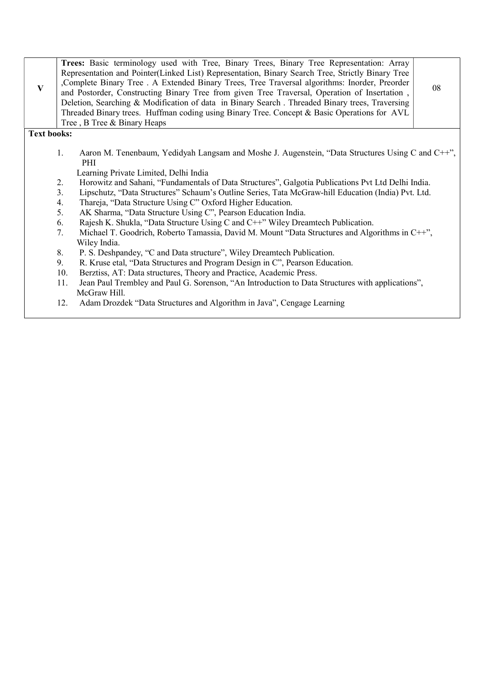| $\mathbf{V}$       | Trees: Basic terminology used with Tree, Binary Trees, Binary Tree Representation: Array<br>Representation and Pointer(Linked List) Representation, Binary Search Tree, Strictly Binary Tree<br>, Complete Binary Tree . A Extended Binary Trees, Tree Traversal algorithms: Inorder, Preorder<br>and Postorder, Constructing Binary Tree from given Tree Traversal, Operation of Insertation,<br>Deletion, Searching & Modification of data in Binary Search. Threaded Binary trees, Traversing<br>Threaded Binary trees. Huffman coding using Binary Tree. Concept & Basic Operations for AVL<br>Tree, B Tree & Binary Heaps | 08 |  |  |  |  |  |
|--------------------|--------------------------------------------------------------------------------------------------------------------------------------------------------------------------------------------------------------------------------------------------------------------------------------------------------------------------------------------------------------------------------------------------------------------------------------------------------------------------------------------------------------------------------------------------------------------------------------------------------------------------------|----|--|--|--|--|--|
| <b>Text books:</b> |                                                                                                                                                                                                                                                                                                                                                                                                                                                                                                                                                                                                                                |    |  |  |  |  |  |
|                    | Aaron M. Tenenbaum, Yedidyah Langsam and Moshe J. Augenstein, "Data Structures Using C and C++",<br>1.<br>PHI                                                                                                                                                                                                                                                                                                                                                                                                                                                                                                                  |    |  |  |  |  |  |
|                    | Learning Private Limited, Delhi India                                                                                                                                                                                                                                                                                                                                                                                                                                                                                                                                                                                          |    |  |  |  |  |  |
|                    | 2.<br>Horowitz and Sahani, "Fundamentals of Data Structures", Galgotia Publications Pvt Ltd Delhi India.                                                                                                                                                                                                                                                                                                                                                                                                                                                                                                                       |    |  |  |  |  |  |
|                    | 3.<br>Lipschutz, "Data Structures" Schaum's Outline Series, Tata McGraw-hill Education (India) Pvt. Ltd.                                                                                                                                                                                                                                                                                                                                                                                                                                                                                                                       |    |  |  |  |  |  |
|                    | Thareja, "Data Structure Using C" Oxford Higher Education.<br>4.                                                                                                                                                                                                                                                                                                                                                                                                                                                                                                                                                               |    |  |  |  |  |  |
|                    | 5.<br>AK Sharma, "Data Structure Using C", Pearson Education India.                                                                                                                                                                                                                                                                                                                                                                                                                                                                                                                                                            |    |  |  |  |  |  |
|                    | Rajesh K. Shukla, "Data Structure Using C and C++" Wiley Dreamtech Publication.<br>6.                                                                                                                                                                                                                                                                                                                                                                                                                                                                                                                                          |    |  |  |  |  |  |
|                    | Michael T. Goodrich, Roberto Tamassia, David M. Mount "Data Structures and Algorithms in C++",<br>7.<br>Wiley India.                                                                                                                                                                                                                                                                                                                                                                                                                                                                                                           |    |  |  |  |  |  |
|                    | 8.<br>P. S. Deshpandey, "C and Data structure", Wiley Dreamtech Publication.                                                                                                                                                                                                                                                                                                                                                                                                                                                                                                                                                   |    |  |  |  |  |  |
|                    | 9.<br>R. Kruse etal, "Data Structures and Program Design in C", Pearson Education.                                                                                                                                                                                                                                                                                                                                                                                                                                                                                                                                             |    |  |  |  |  |  |
|                    | 10.<br>Berztiss, AT: Data structures, Theory and Practice, Academic Press.                                                                                                                                                                                                                                                                                                                                                                                                                                                                                                                                                     |    |  |  |  |  |  |
|                    | Jean Paul Trembley and Paul G. Sorenson, "An Introduction to Data Structures with applications",<br>11.<br>McGraw Hill.                                                                                                                                                                                                                                                                                                                                                                                                                                                                                                        |    |  |  |  |  |  |
|                    | Adam Drozdek "Data Structures and Algorithm in Java", Cengage Learning<br>12.                                                                                                                                                                                                                                                                                                                                                                                                                                                                                                                                                  |    |  |  |  |  |  |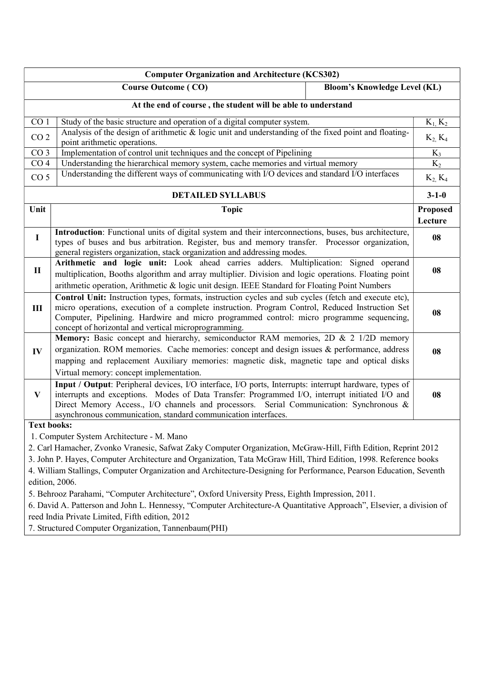|                    | <b>Computer Organization and Architecture (KCS302)</b>                                                                                                                                                                                                                                                                                                                |                                     |                            |  |  |  |
|--------------------|-----------------------------------------------------------------------------------------------------------------------------------------------------------------------------------------------------------------------------------------------------------------------------------------------------------------------------------------------------------------------|-------------------------------------|----------------------------|--|--|--|
|                    | <b>Course Outcome (CO)</b>                                                                                                                                                                                                                                                                                                                                            | <b>Bloom's Knowledge Level (KL)</b> |                            |  |  |  |
|                    | At the end of course, the student will be able to understand                                                                                                                                                                                                                                                                                                          |                                     |                            |  |  |  |
| CO <sub>1</sub>    | Study of the basic structure and operation of a digital computer system.                                                                                                                                                                                                                                                                                              |                                     | $K_1, K_2$                 |  |  |  |
| CO <sub>2</sub>    | Analysis of the design of arithmetic & logic unit and understanding of the fixed point and floating-<br>point arithmetic operations.                                                                                                                                                                                                                                  |                                     | $K_2, K_4$                 |  |  |  |
| $\overline{CO3}$   | Implementation of control unit techniques and the concept of Pipelining                                                                                                                                                                                                                                                                                               |                                     | $K_3$                      |  |  |  |
| CO <sub>4</sub>    | Understanding the hierarchical memory system, cache memories and virtual memory                                                                                                                                                                                                                                                                                       |                                     | $K_2$                      |  |  |  |
| CO <sub>5</sub>    | Understanding the different ways of communicating with I/O devices and standard I/O interfaces                                                                                                                                                                                                                                                                        |                                     | $K_2, K_4$                 |  |  |  |
|                    | <b>DETAILED SYLLABUS</b>                                                                                                                                                                                                                                                                                                                                              |                                     | $3 - 1 - 0$                |  |  |  |
| Unit               | <b>Topic</b>                                                                                                                                                                                                                                                                                                                                                          |                                     | <b>Proposed</b><br>Lecture |  |  |  |
| $\mathbf I$        | Introduction: Functional units of digital system and their interconnections, buses, bus architecture,<br>types of buses and bus arbitration. Register, bus and memory transfer. Processor organization,<br>general registers organization, stack organization and addressing modes.                                                                                   |                                     | 08                         |  |  |  |
| $\mathbf H$        | Arithmetic and logic unit: Look ahead carries adders. Multiplication: Signed operand<br>multiplication, Booths algorithm and array multiplier. Division and logic operations. Floating point<br>arithmetic operation, Arithmetic & logic unit design. IEEE Standard for Floating Point Numbers                                                                        |                                     | 08                         |  |  |  |
| III                | Control Unit: Instruction types, formats, instruction cycles and sub cycles (fetch and execute etc),<br>micro operations, execution of a complete instruction. Program Control, Reduced Instruction Set<br>Computer, Pipelining. Hardwire and micro programmed control: micro programme sequencing,<br>concept of horizontal and vertical microprogramming.           |                                     |                            |  |  |  |
| IV                 | Memory: Basic concept and hierarchy, semiconductor RAM memories, 2D & 2 1/2D memory<br>organization. ROM memories. Cache memories: concept and design issues & performance, address<br>mapping and replacement Auxiliary memories: magnetic disk, magnetic tape and optical disks<br>Virtual memory: concept implementation.                                          |                                     |                            |  |  |  |
| $\mathbf{V}$       | Input / Output: Peripheral devices, I/O interface, I/O ports, Interrupts: interrupt hardware, types of<br>interrupts and exceptions. Modes of Data Transfer: Programmed I/O, interrupt initiated I/O and<br>Direct Memory Access., I/O channels and processors. Serial Communication: Synchronous &<br>asynchronous communication, standard communication interfaces. |                                     | 08                         |  |  |  |
| <b>Text books:</b> |                                                                                                                                                                                                                                                                                                                                                                       |                                     |                            |  |  |  |
|                    | 1. Computer System Architecture - M. Mano                                                                                                                                                                                                                                                                                                                             |                                     |                            |  |  |  |
|                    | 2. Carl Hamacher, Zvonko Vranesic, Safwat Zaky Computer Organization, McGraw-Hill, Fifth Edition, Reprint 2012                                                                                                                                                                                                                                                        |                                     |                            |  |  |  |
|                    | 3. John P. Hayes, Computer Architecture and Organization, Tata McGraw Hill, Third Edition, 1998. Reference books                                                                                                                                                                                                                                                      |                                     |                            |  |  |  |
|                    | 4. William Stallings, Computer Organization and Architecture-Designing for Performance, Pearson Education, Seventh                                                                                                                                                                                                                                                    |                                     |                            |  |  |  |
|                    | edition, 2006.                                                                                                                                                                                                                                                                                                                                                        |                                     |                            |  |  |  |
|                    | 5. Behrooz Parahami, "Computer Architecture", Oxford University Press, Eighth Impression, 2011.                                                                                                                                                                                                                                                                       |                                     |                            |  |  |  |
|                    | 6. David A. Patterson and John L. Hennessy, "Computer Architecture-A Quantitative Approach", Elsevier, a division of                                                                                                                                                                                                                                                  |                                     |                            |  |  |  |
|                    | reed India Private Limited, Fifth edition, 2012                                                                                                                                                                                                                                                                                                                       |                                     |                            |  |  |  |
|                    | 7. Structured Computer Organization, Tannenbaum(PHI)                                                                                                                                                                                                                                                                                                                  |                                     |                            |  |  |  |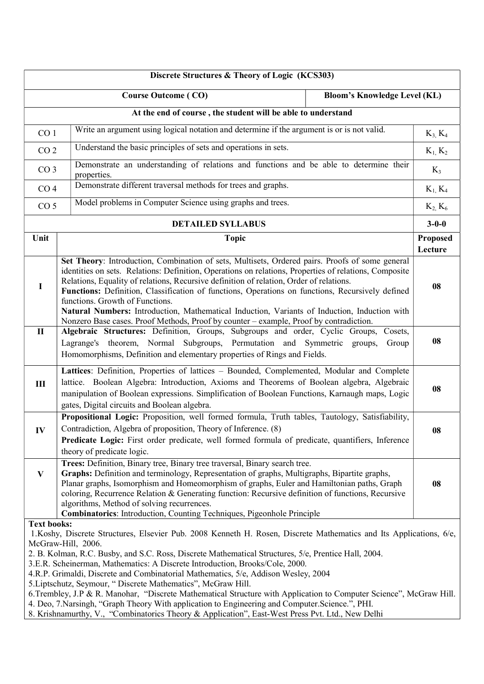| Discrete Structures & Theory of Logic (KCS303)                                                                           |                                                                                                                                                                                                                                                                                                                                                                                                                                                                                                                                                                                                                                                                                                                                                                                                                          |                                     |                            |  |  |  |
|--------------------------------------------------------------------------------------------------------------------------|--------------------------------------------------------------------------------------------------------------------------------------------------------------------------------------------------------------------------------------------------------------------------------------------------------------------------------------------------------------------------------------------------------------------------------------------------------------------------------------------------------------------------------------------------------------------------------------------------------------------------------------------------------------------------------------------------------------------------------------------------------------------------------------------------------------------------|-------------------------------------|----------------------------|--|--|--|
|                                                                                                                          | <b>Course Outcome (CO)</b>                                                                                                                                                                                                                                                                                                                                                                                                                                                                                                                                                                                                                                                                                                                                                                                               | <b>Bloom's Knowledge Level (KL)</b> |                            |  |  |  |
|                                                                                                                          | At the end of course, the student will be able to understand                                                                                                                                                                                                                                                                                                                                                                                                                                                                                                                                                                                                                                                                                                                                                             |                                     |                            |  |  |  |
| CO <sub>1</sub>                                                                                                          | Write an argument using logical notation and determine if the argument is or is not valid.                                                                                                                                                                                                                                                                                                                                                                                                                                                                                                                                                                                                                                                                                                                               |                                     | $K_3, K_4$                 |  |  |  |
| CO <sub>2</sub>                                                                                                          | Understand the basic principles of sets and operations in sets.                                                                                                                                                                                                                                                                                                                                                                                                                                                                                                                                                                                                                                                                                                                                                          |                                     | $K_1, K_2$                 |  |  |  |
| Demonstrate an understanding of relations and functions and be able to determine their<br>CO <sub>3</sub><br>properties. |                                                                                                                                                                                                                                                                                                                                                                                                                                                                                                                                                                                                                                                                                                                                                                                                                          |                                     | $K_3$                      |  |  |  |
| CO <sub>4</sub>                                                                                                          | Demonstrate different traversal methods for trees and graphs.                                                                                                                                                                                                                                                                                                                                                                                                                                                                                                                                                                                                                                                                                                                                                            |                                     | $K_1, K_4$                 |  |  |  |
|                                                                                                                          | Model problems in Computer Science using graphs and trees.<br>CO <sub>5</sub>                                                                                                                                                                                                                                                                                                                                                                                                                                                                                                                                                                                                                                                                                                                                            |                                     | $K_2, K_6$                 |  |  |  |
|                                                                                                                          | <b>DETAILED SYLLABUS</b>                                                                                                                                                                                                                                                                                                                                                                                                                                                                                                                                                                                                                                                                                                                                                                                                 |                                     | $3 - 0 - 0$                |  |  |  |
| Unit                                                                                                                     | <b>Topic</b>                                                                                                                                                                                                                                                                                                                                                                                                                                                                                                                                                                                                                                                                                                                                                                                                             |                                     | <b>Proposed</b><br>Lecture |  |  |  |
| $\mathbf I$                                                                                                              | Set Theory: Introduction, Combination of sets, Multisets, Ordered pairs. Proofs of some general<br>identities on sets. Relations: Definition, Operations on relations, Properties of relations, Composite<br>Relations, Equality of relations, Recursive definition of relation, Order of relations.<br>Functions: Definition, Classification of functions, Operations on functions, Recursively defined<br>functions. Growth of Functions.<br>Natural Numbers: Introduction, Mathematical Induction, Variants of Induction, Induction with<br>Nonzero Base cases. Proof Methods, Proof by counter - example, Proof by contradiction.                                                                                                                                                                                    |                                     | 08                         |  |  |  |
| $\mathbf{I}$                                                                                                             | Algebraic Structures: Definition, Groups, Subgroups and order, Cyclic Groups,<br>Lagrange's theorem, Normal Subgroups, Permutation and Symmetric<br>Homomorphisms, Definition and elementary properties of Rings and Fields.                                                                                                                                                                                                                                                                                                                                                                                                                                                                                                                                                                                             | Cosets,<br>groups,<br>Group         | 08                         |  |  |  |
| III                                                                                                                      | Lattices: Definition, Properties of lattices - Bounded, Complemented, Modular and Complete<br>lattice. Boolean Algebra: Introduction, Axioms and Theorems of Boolean algebra, Algebraic<br>manipulation of Boolean expressions. Simplification of Boolean Functions, Karnaugh maps, Logic<br>gates, Digital circuits and Boolean algebra.                                                                                                                                                                                                                                                                                                                                                                                                                                                                                |                                     | 08                         |  |  |  |
| IV                                                                                                                       | Propositional Logic: Proposition, well formed formula, Truth tables, Tautology, Satisfiability,<br>Contradiction, Algebra of proposition, Theory of Inference. (8)<br>Predicate Logic: First order predicate, well formed formula of predicate, quantifiers, Inference<br>theory of predicate logic.                                                                                                                                                                                                                                                                                                                                                                                                                                                                                                                     |                                     | 08                         |  |  |  |
| $\mathbf{V}$                                                                                                             | Trees: Definition, Binary tree, Binary tree traversal, Binary search tree.<br>Graphs: Definition and terminology, Representation of graphs, Multigraphs, Bipartite graphs,<br>Planar graphs, Isomorphism and Homeomorphism of graphs, Euler and Hamiltonian paths, Graph<br>coloring, Recurrence Relation & Generating function: Recursive definition of functions, Recursive<br>algorithms, Method of solving recurrences.                                                                                                                                                                                                                                                                                                                                                                                              |                                     | 08                         |  |  |  |
|                                                                                                                          | <b>Combinatorics:</b> Introduction, Counting Techniques, Pigeonhole Principle<br><b>Text books:</b><br>1. Koshy, Discrete Structures, Elsevier Pub. 2008 Kenneth H. Rosen, Discrete Mathematics and Its Applications, 6/e,<br>McGraw-Hill, 2006.<br>2. B. Kolman, R.C. Busby, and S.C. Ross, Discrete Mathematical Structures, 5/e, Prentice Hall, 2004.<br>3.E.R. Scheinerman, Mathematics: A Discrete Introduction, Brooks/Cole, 2000.<br>4.R.P. Grimaldi, Discrete and Combinatorial Mathematics, 5/e, Addison Wesley, 2004<br>5. Liptschutz, Seymour, "Discrete Mathematics", McGraw Hill.<br>6. Trembley, J.P & R. Manohar, "Discrete Mathematical Structure with Application to Computer Science", McGraw Hill.<br>4. Deo, 7. Narsingh, "Graph Theory With application to Engineering and Computer Science.", PHI. |                                     |                            |  |  |  |

8. Krishnamurthy, V., "Combinatorics Theory & Application", East-West Press Pvt. Ltd., New Delhi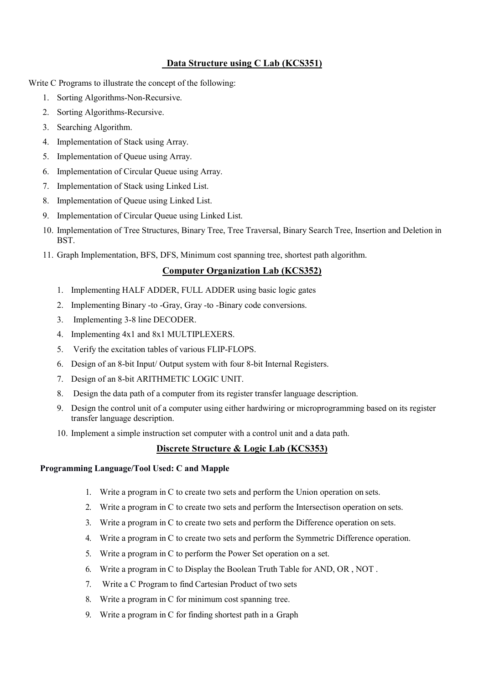#### Data Structure using C Lab (KCS351)

Write C Programs to illustrate the concept of the following:

- 1. Sorting Algorithms-Non-Recursive.
- 2. Sorting Algorithms-Recursive.
- 3. Searching Algorithm.
- 4. Implementation of Stack using Array.
- 5. Implementation of Queue using Array.
- 6. Implementation of Circular Queue using Array.
- 7. Implementation of Stack using Linked List.
- 8. Implementation of Queue using Linked List.
- 9. Implementation of Circular Queue using Linked List.
- 10. Implementation of Tree Structures, Binary Tree, Tree Traversal, Binary Search Tree, Insertion and Deletion in BST.
- 11. Graph Implementation, BFS, DFS, Minimum cost spanning tree, shortest path algorithm.

#### Computer Organization Lab (KCS352)

- 1. Implementing HALF ADDER, FULL ADDER using basic logic gates
- 2. Implementing Binary -to -Gray, Gray -to -Binary code conversions.
- 3. Implementing 3-8 line DECODER.
- 4. Implementing 4x1 and 8x1 MULTIPLEXERS.
- 5. Verify the excitation tables of various FLIP-FLOPS.
- 6. Design of an 8-bit Input/ Output system with four 8-bit Internal Registers.
- 7. Design of an 8-bit ARITHMETIC LOGIC UNIT.
- 8. Design the data path of a computer from its register transfer language description.
- 9. Design the control unit of a computer using either hardwiring or microprogramming based on its register transfer language description.
- 10. Implement a simple instruction set computer with a control unit and a data path.

#### Discrete Structure & Logic Lab (KCS353)

#### Programming Language/Tool Used: C and Mapple

- 1. Write a program in C to create two sets and perform the Union operation on sets.
- 2. Write a program in C to create two sets and perform the Intersectison operation on sets.
- 3. Write a program in C to create two sets and perform the Difference operation on sets.
- 4. Write a program in C to create two sets and perform the Symmetric Difference operation.
- 5. Write a program in C to perform the Power Set operation on a set.
- 6. Write a program in C to Display the Boolean Truth Table for AND, OR , NOT .
- 7. Write a C Program to find Cartesian Product of two sets
- 8. Write a program in C for minimum cost spanning tree.
- 9. Write a program in C for finding shortest path in a Graph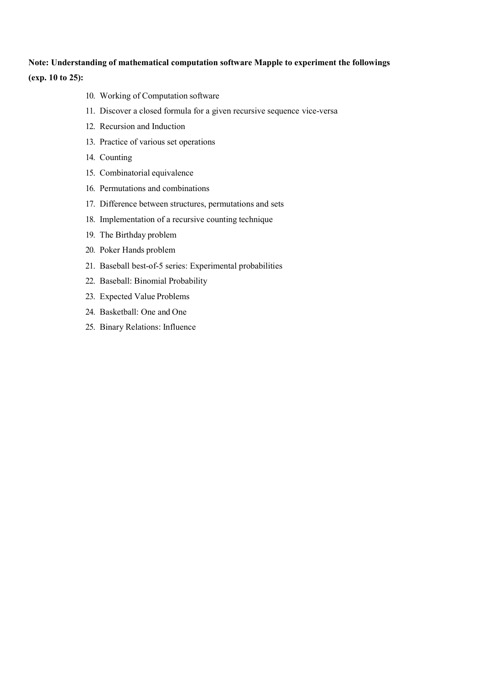#### Note: Understanding of mathematical computation software Mapple to experiment the followings (exp. 10 to 25):

- 10. Working of Computation software
- 11. Discover a closed formula for a given recursive sequence vice-versa
- 12. Recursion and Induction
- 13. Practice of various set operations
- 14. Counting
- 15. Combinatorial equivalence
- 16. Permutations and combinations
- 17. Difference between structures, permutations and sets
- 18. Implementation of a recursive counting technique
- 19. The Birthday problem
- 20. Poker Hands problem
- 21. Baseball best-of-5 series: Experimental probabilities
- 22. Baseball: Binomial Probability
- 23. Expected Value Problems
- 24. Basketball: One and One
- 25. Binary Relations: Influence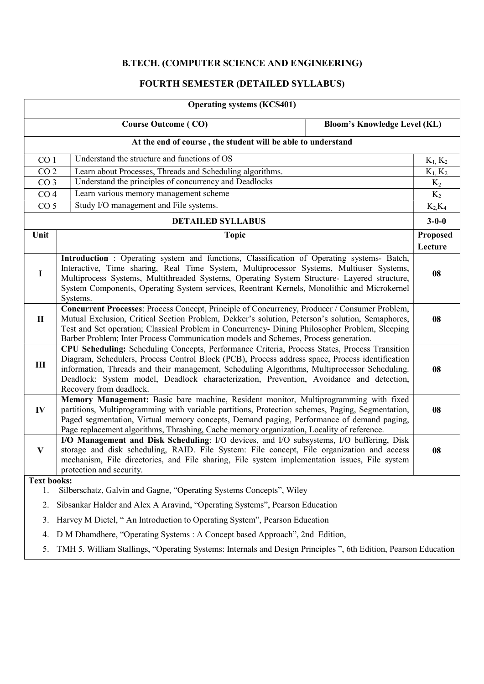## B.TECH. (COMPUTER SCIENCE AND ENGINEERING)

### FOURTH SEMESTER (DETAILED SYLLABUS)

| <b>Operating systems (KCS401)</b>                            |                                                                                                                                                                                                                                                                                                                                                                                                                        |                                     |                     |  |  |  |
|--------------------------------------------------------------|------------------------------------------------------------------------------------------------------------------------------------------------------------------------------------------------------------------------------------------------------------------------------------------------------------------------------------------------------------------------------------------------------------------------|-------------------------------------|---------------------|--|--|--|
|                                                              | <b>Course Outcome (CO)</b>                                                                                                                                                                                                                                                                                                                                                                                             | <b>Bloom's Knowledge Level (KL)</b> |                     |  |  |  |
| At the end of course, the student will be able to understand |                                                                                                                                                                                                                                                                                                                                                                                                                        |                                     |                     |  |  |  |
| CO <sub>1</sub>                                              | Understand the structure and functions of OS                                                                                                                                                                                                                                                                                                                                                                           |                                     | $K_1, K_2$          |  |  |  |
| CO <sub>2</sub>                                              | Learn about Processes, Threads and Scheduling algorithms.                                                                                                                                                                                                                                                                                                                                                              |                                     | $K_1, K_2$          |  |  |  |
| CO <sub>3</sub>                                              | Understand the principles of concurrency and Deadlocks                                                                                                                                                                                                                                                                                                                                                                 |                                     | $K_2$               |  |  |  |
| CO <sub>4</sub>                                              | Learn various memory management scheme                                                                                                                                                                                                                                                                                                                                                                                 |                                     | $K_2$               |  |  |  |
| CO <sub>5</sub>                                              | Study I/O management and File systems.                                                                                                                                                                                                                                                                                                                                                                                 |                                     | $K_2K_4$            |  |  |  |
|                                                              | <b>DETAILED SYLLABUS</b>                                                                                                                                                                                                                                                                                                                                                                                               |                                     | $3 - 0 - 0$         |  |  |  |
| Unit                                                         | <b>Topic</b>                                                                                                                                                                                                                                                                                                                                                                                                           |                                     | Proposed<br>Lecture |  |  |  |
| $\bf{I}$                                                     | Introduction: Operating system and functions, Classification of Operating systems- Batch,<br>Interactive, Time sharing, Real Time System, Multiprocessor Systems, Multiuser Systems,<br>Multiprocess Systems, Multithreaded Systems, Operating System Structure- Layered structure,<br>System Components, Operating System services, Reentrant Kernels, Monolithic and Microkernel<br>Systems.                         |                                     |                     |  |  |  |
| $\mathbf{I}$                                                 | Concurrent Processes: Process Concept, Principle of Concurrency, Producer / Consumer Problem,<br>Mutual Exclusion, Critical Section Problem, Dekker's solution, Peterson's solution, Semaphores,<br>Test and Set operation; Classical Problem in Concurrency- Dining Philosopher Problem, Sleeping<br>Barber Problem; Inter Process Communication models and Schemes, Process generation.                              |                                     |                     |  |  |  |
| $\rm III$                                                    | CPU Scheduling: Scheduling Concepts, Performance Criteria, Process States, Process Transition<br>Diagram, Schedulers, Process Control Block (PCB), Process address space, Process identification<br>information, Threads and their management, Scheduling Algorithms, Multiprocessor Scheduling.<br>Deadlock: System model, Deadlock characterization, Prevention, Avoidance and detection,<br>Recovery from deadlock. |                                     |                     |  |  |  |
| IV                                                           | Memory Management: Basic bare machine, Resident monitor, Multiprogramming with fixed<br>partitions, Multiprogramming with variable partitions, Protection schemes, Paging, Segmentation,<br>Paged segmentation, Virtual memory concepts, Demand paging, Performance of demand paging,<br>Page replacement algorithms, Thrashing, Cache memory organization, Locality of reference.                                     |                                     | 08                  |  |  |  |
| V                                                            | I/O Management and Disk Scheduling: I/O devices, and I/O subsystems, I/O buffering, Disk<br>storage and disk scheduling, RAID. File System: File concept, File organization and access<br>mechanism, File directories, and File sharing, File system implementation issues, File system<br>protection and security.                                                                                                    |                                     | 08                  |  |  |  |
| <b>Text books:</b>                                           |                                                                                                                                                                                                                                                                                                                                                                                                                        |                                     |                     |  |  |  |
| 1.                                                           | Silberschatz, Galvin and Gagne, "Operating Systems Concepts", Wiley                                                                                                                                                                                                                                                                                                                                                    |                                     |                     |  |  |  |
| 2.                                                           | Sibsankar Halder and Alex A Aravind, "Operating Systems", Pearson Education                                                                                                                                                                                                                                                                                                                                            |                                     |                     |  |  |  |
| 3.                                                           | Harvey M Dietel, "An Introduction to Operating System", Pearson Education                                                                                                                                                                                                                                                                                                                                              |                                     |                     |  |  |  |
| 4.                                                           | D M Dhamdhere, "Operating Systems : A Concept based Approach", 2nd Edition,                                                                                                                                                                                                                                                                                                                                            |                                     |                     |  |  |  |
| 5.                                                           | TMH 5. William Stallings, "Operating Systems: Internals and Design Principles", 6th Edition, Pearson Education                                                                                                                                                                                                                                                                                                         |                                     |                     |  |  |  |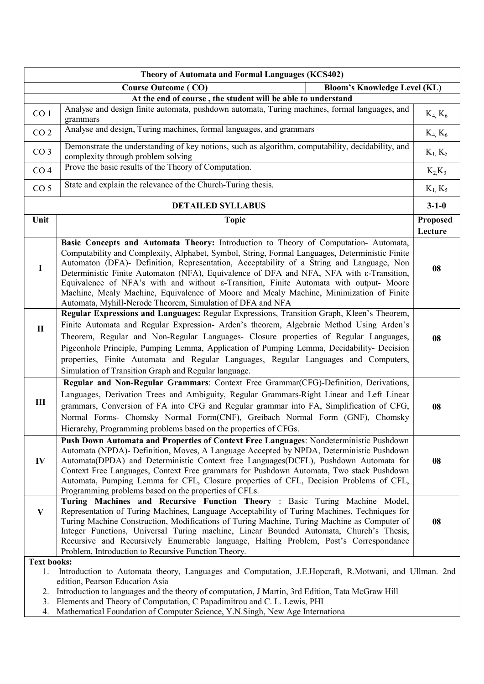|                                                              | Theory of Automata and Formal Languages (KCS402)                                                                                                                                                                                                                                                                                                                                                                                                                                                                                                                                                                                             |                     |  |  |  |
|--------------------------------------------------------------|----------------------------------------------------------------------------------------------------------------------------------------------------------------------------------------------------------------------------------------------------------------------------------------------------------------------------------------------------------------------------------------------------------------------------------------------------------------------------------------------------------------------------------------------------------------------------------------------------------------------------------------------|---------------------|--|--|--|
|                                                              | <b>Bloom's Knowledge Level (KL)</b><br><b>Course Outcome (CO)</b>                                                                                                                                                                                                                                                                                                                                                                                                                                                                                                                                                                            |                     |  |  |  |
| At the end of course, the student will be able to understand |                                                                                                                                                                                                                                                                                                                                                                                                                                                                                                                                                                                                                                              |                     |  |  |  |
| CO <sub>1</sub>                                              | Analyse and design finite automata, pushdown automata, Turing machines, formal languages, and<br>grammars                                                                                                                                                                                                                                                                                                                                                                                                                                                                                                                                    | $K_4, K_6$          |  |  |  |
| CO <sub>2</sub>                                              | Analyse and design, Turing machines, formal languages, and grammars                                                                                                                                                                                                                                                                                                                                                                                                                                                                                                                                                                          | $K_4, K_6$          |  |  |  |
| CO <sub>3</sub>                                              | Demonstrate the understanding of key notions, such as algorithm, computability, decidability, and<br>complexity through problem solving                                                                                                                                                                                                                                                                                                                                                                                                                                                                                                      | $K_1, K_5$          |  |  |  |
| CO <sub>4</sub>                                              | Prove the basic results of the Theory of Computation.                                                                                                                                                                                                                                                                                                                                                                                                                                                                                                                                                                                        | $K_2K_3$            |  |  |  |
| CO <sub>5</sub>                                              | State and explain the relevance of the Church-Turing thesis.                                                                                                                                                                                                                                                                                                                                                                                                                                                                                                                                                                                 | $K_1, K_5$          |  |  |  |
|                                                              | <b>DETAILED SYLLABUS</b>                                                                                                                                                                                                                                                                                                                                                                                                                                                                                                                                                                                                                     | $3 - 1 - 0$         |  |  |  |
| Unit                                                         | <b>Topic</b>                                                                                                                                                                                                                                                                                                                                                                                                                                                                                                                                                                                                                                 | Proposed<br>Lecture |  |  |  |
| $\mathbf I$                                                  | Basic Concepts and Automata Theory: Introduction to Theory of Computation-Automata,<br>Computability and Complexity, Alphabet, Symbol, String, Formal Languages, Deterministic Finite<br>Automaton (DFA)- Definition, Representation, Acceptability of a String and Language, Non<br>Deterministic Finite Automaton (NFA), Equivalence of DFA and NFA, NFA with $\varepsilon$ -Transition,<br>Equivalence of NFA's with and without ε-Transition, Finite Automata with output- Moore<br>Machine, Mealy Machine, Equivalence of Moore and Mealy Machine, Minimization of Finite<br>Automata, Myhill-Nerode Theorem, Simulation of DFA and NFA | 08                  |  |  |  |
| $\mathbf{I}$                                                 | Regular Expressions and Languages: Regular Expressions, Transition Graph, Kleen's Theorem,<br>Finite Automata and Regular Expression- Arden's theorem, Algebraic Method Using Arden's<br>Theorem, Regular and Non-Regular Languages- Closure properties of Regular Languages,<br>Pigeonhole Principle, Pumping Lemma, Application of Pumping Lemma, Decidability- Decision<br>properties, Finite Automata and Regular Languages, Regular Languages and Computers,<br>Simulation of Transition Graph and Regular language.                                                                                                                    | 08                  |  |  |  |
| III                                                          | Regular and Non-Regular Grammars: Context Free Grammar(CFG)-Definition, Derivations,<br>Languages, Derivation Trees and Ambiguity, Regular Grammars-Right Linear and Left Linear<br>grammars, Conversion of FA into CFG and Regular grammar into FA, Simplification of CFG,<br>Normal Forms- Chomsky Normal Form(CNF), Greibach Normal Form (GNF), Chomsky<br>Hierarchy, Programming problems based on the properties of CFGs.                                                                                                                                                                                                               | 08                  |  |  |  |
| $\mathbf{IV}$                                                | Push Down Automata and Properties of Context Free Languages: Nondeterministic Pushdown<br>Automata (NPDA)- Definition, Moves, A Language Accepted by NPDA, Deterministic Pushdown<br>Automata(DPDA) and Deterministic Context free Languages(DCFL), Pushdown Automata for<br>Context Free Languages, Context Free grammars for Pushdown Automata, Two stack Pushdown<br>Automata, Pumping Lemma for CFL, Closure properties of CFL, Decision Problems of CFL,<br>Programming problems based on the properties of CFLs.                                                                                                                       | 08                  |  |  |  |
| V                                                            | Turing Machines and Recursive Function Theory : Basic Turing Machine Model,<br>Representation of Turing Machines, Language Acceptability of Turing Machines, Techniques for<br>Turing Machine Construction, Modifications of Turing Machine, Turing Machine as Computer of<br>Integer Functions, Universal Turing machine, Linear Bounded Automata, Church's Thesis,<br>Recursive and Recursively Enumerable language, Halting Problem, Post's Correspondance<br>Problem, Introduction to Recursive Function Theory.                                                                                                                         | 08                  |  |  |  |
| 1.<br>2.<br>3.<br>4.                                         | <b>Text books:</b><br>Introduction to Automata theory, Languages and Computation, J.E.Hopcraft, R.Motwani, and Ullman. 2nd<br>edition, Pearson Education Asia<br>Introduction to languages and the theory of computation, J Martin, 3rd Edition, Tata McGraw Hill<br>Elements and Theory of Computation, C Papadimitrou and C. L. Lewis, PHI<br>Mathematical Foundation of Computer Science, Y.N.Singh, New Age Internationa                                                                                                                                                                                                                 |                     |  |  |  |

 $\overline{\phantom{a}}$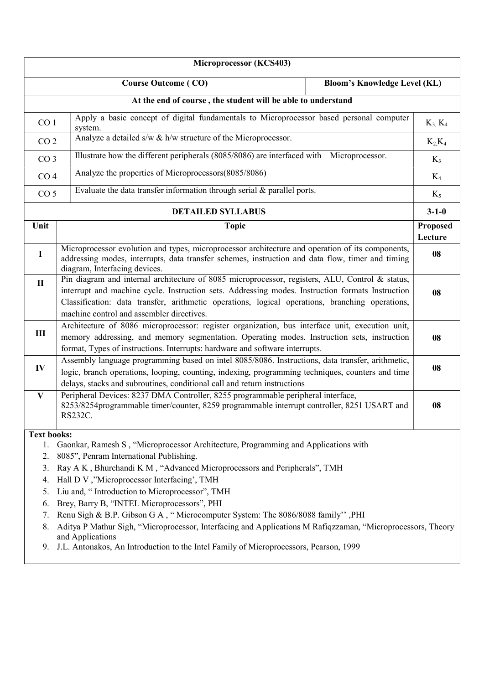|                                                              | Microprocessor (KCS403)                                                                                                                                                                                                                                                                                                                             |                                     |                     |  |  |  |
|--------------------------------------------------------------|-----------------------------------------------------------------------------------------------------------------------------------------------------------------------------------------------------------------------------------------------------------------------------------------------------------------------------------------------------|-------------------------------------|---------------------|--|--|--|
|                                                              | <b>Course Outcome (CO)</b>                                                                                                                                                                                                                                                                                                                          | <b>Bloom's Knowledge Level (KL)</b> |                     |  |  |  |
| At the end of course, the student will be able to understand |                                                                                                                                                                                                                                                                                                                                                     |                                     |                     |  |  |  |
| CO <sub>1</sub>                                              | Apply a basic concept of digital fundamentals to Microprocessor based personal computer<br>system.                                                                                                                                                                                                                                                  |                                     | $K_3, K_4$          |  |  |  |
| CO <sub>2</sub>                                              | Analyze a detailed $s/w \& h/w$ structure of the Microprocessor.                                                                                                                                                                                                                                                                                    |                                     | $K_2K_4$            |  |  |  |
| CO <sub>3</sub>                                              | Illustrate how the different peripherals (8085/8086) are interfaced with Microprocessor.                                                                                                                                                                                                                                                            |                                     | $K_3$               |  |  |  |
| CO <sub>4</sub>                                              | Analyze the properties of Microprocessors(8085/8086)                                                                                                                                                                                                                                                                                                |                                     | $K_4$               |  |  |  |
| CO <sub>5</sub>                                              | Evaluate the data transfer information through serial $&$ parallel ports.                                                                                                                                                                                                                                                                           |                                     | $K_5$               |  |  |  |
|                                                              | <b>DETAILED SYLLABUS</b>                                                                                                                                                                                                                                                                                                                            |                                     | $3 - 1 - 0$         |  |  |  |
| Unit                                                         | <b>Topic</b>                                                                                                                                                                                                                                                                                                                                        |                                     | Proposed<br>Lecture |  |  |  |
| $\bf{I}$                                                     | Microprocessor evolution and types, microprocessor architecture and operation of its components,<br>addressing modes, interrupts, data transfer schemes, instruction and data flow, timer and timing<br>diagram, Interfacing devices.                                                                                                               |                                     | 08                  |  |  |  |
| $\mathbf{I}$                                                 | Pin diagram and internal architecture of 8085 microprocessor, registers, ALU, Control & status,<br>interrupt and machine cycle. Instruction sets. Addressing modes. Instruction formats Instruction<br>Classification: data transfer, arithmetic operations, logical operations, branching operations,<br>machine control and assembler directives. |                                     |                     |  |  |  |
| $\rm III$                                                    | Architecture of 8086 microprocessor: register organization, bus interface unit, execution unit,<br>memory addressing, and memory segmentation. Operating modes. Instruction sets, instruction<br>format, Types of instructions. Interrupts: hardware and software interrupts.                                                                       |                                     |                     |  |  |  |
| $\mathbf{IV}$                                                | Assembly language programming based on intel 8085/8086. Instructions, data transfer, arithmetic,<br>logic, branch operations, looping, counting, indexing, programming techniques, counters and time<br>delays, stacks and subroutines, conditional call and return instructions                                                                    |                                     | 08                  |  |  |  |
| $\mathbf{V}$                                                 | Peripheral Devices: 8237 DMA Controller, 8255 programmable peripheral interface,<br>8253/8254programmable timer/counter, 8259 programmable interrupt controller, 8251 USART and<br>RS232C.                                                                                                                                                          |                                     | 08                  |  |  |  |
| <b>Text books:</b>                                           |                                                                                                                                                                                                                                                                                                                                                     |                                     |                     |  |  |  |
| 1.<br>2.                                                     | Gaonkar, Ramesh S, "Microprocessor Architecture, Programming and Applications with<br>8085", Penram International Publishing.                                                                                                                                                                                                                       |                                     |                     |  |  |  |
| 3.                                                           | Ray A K, Bhurchandi K M, "Advanced Microprocessors and Peripherals", TMH                                                                                                                                                                                                                                                                            |                                     |                     |  |  |  |
| 4.                                                           | Hall D V, "Microprocessor Interfacing', TMH                                                                                                                                                                                                                                                                                                         |                                     |                     |  |  |  |
| 5.                                                           | Liu and, "Introduction to Microprocessor", TMH                                                                                                                                                                                                                                                                                                      |                                     |                     |  |  |  |
| 6.                                                           | Brey, Barry B, "INTEL Microprocessors", PHI                                                                                                                                                                                                                                                                                                         |                                     |                     |  |  |  |
| 7.                                                           | Renu Sigh & B.P. Gibson G A, "Microcomputer System: The 8086/8088 family", PHI                                                                                                                                                                                                                                                                      |                                     |                     |  |  |  |
| 8.<br>9.                                                     | Aditya P Mathur Sigh, "Microprocessor, Interfacing and Applications M Rafiqzzaman, "Microprocessors, Theory<br>and Applications<br>J.L. Antonakos, An Introduction to the Intel Family of Microprocessors, Pearson, 1999                                                                                                                            |                                     |                     |  |  |  |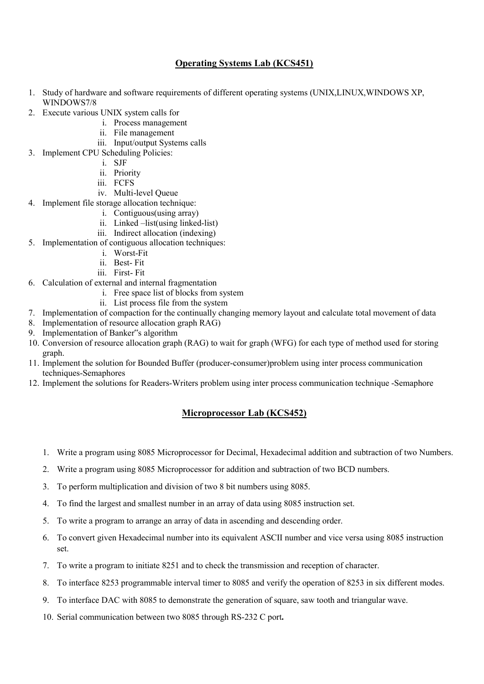#### Operating Systems Lab (KCS451)

- 1. Study of hardware and software requirements of different operating systems (UNIX,LINUX,WINDOWS XP, WINDOWS7/8
- 2. Execute various UNIX system calls for
	- i. Process management
		- ii. File management
	- iii. Input/output Systems calls
- 3. Implement CPU Scheduling Policies:
	- i. SJF
	- ii. Priority
	- iii. FCFS
	- iv. Multi-level Queue
- 4. Implement file storage allocation technique:
	- i. Contiguous(using array)
	- ii. Linked –list(using linked-list)
	- iii. Indirect allocation (indexing)
- 5. Implementation of contiguous allocation techniques:
	- i. Worst-Fit
	- ii. Best- Fit
	- iii. First- Fit
- 6. Calculation of external and internal fragmentation
	- i. Free space list of blocks from system
	- ii. List process file from the system
- 7. Implementation of compaction for the continually changing memory layout and calculate total movement of data
- 8. Implementation of resource allocation graph RAG)
- 9. Implementation of Banker"s algorithm
- 10. Conversion of resource allocation graph (RAG) to wait for graph (WFG) for each type of method used for storing graph.
- 11. Implement the solution for Bounded Buffer (producer-consumer)problem using inter process communication techniques-Semaphores
- 12. Implement the solutions for Readers-Writers problem using inter process communication technique -Semaphore

#### Microprocessor Lab (KCS452)

- 1. Write a program using 8085 Microprocessor for Decimal, Hexadecimal addition and subtraction of two Numbers.
- 2. Write a program using 8085 Microprocessor for addition and subtraction of two BCD numbers.
- 3. To perform multiplication and division of two 8 bit numbers using 8085.
- 4. To find the largest and smallest number in an array of data using 8085 instruction set.
- 5. To write a program to arrange an array of data in ascending and descending order.
- 6. To convert given Hexadecimal number into its equivalent ASCII number and vice versa using 8085 instruction set.
- 7. To write a program to initiate 8251 and to check the transmission and reception of character.
- 8. To interface 8253 programmable interval timer to 8085 and verify the operation of 8253 in six different modes.
- 9. To interface DAC with 8085 to demonstrate the generation of square, saw tooth and triangular wave.
- 10. Serial communication between two 8085 through RS-232 C port.